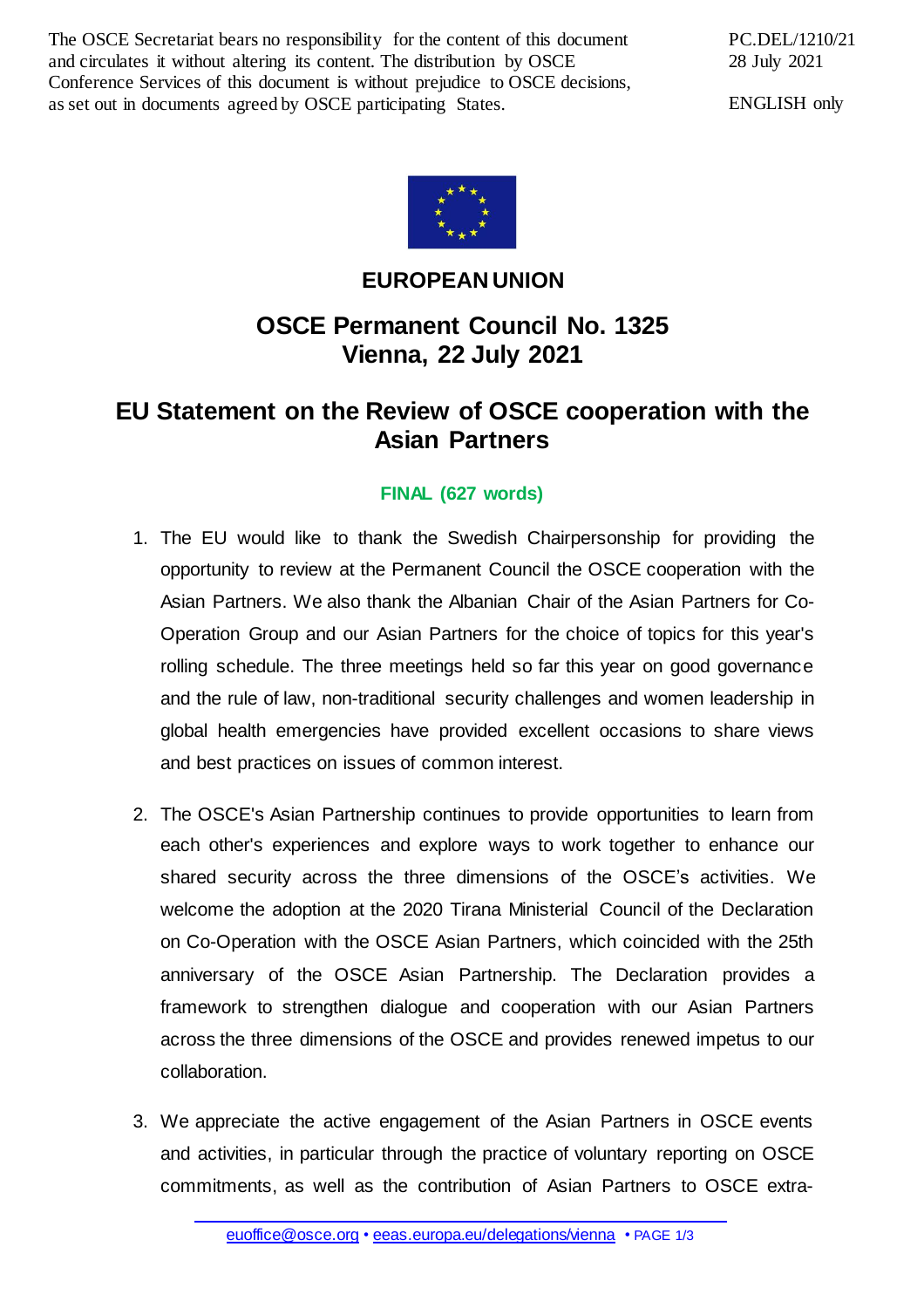The OSCE Secretariat bears no responsibility for the content of this document and circulates it without altering its content. The distribution by OSCE Conference Services of this document is without prejudice to OSCE decisions, as set out in documents agreed by OSCE participating States.

PC.DEL/1210/21 28 July 2021

ENGLISH only



## **EUROPEAN UNION**

## **OSCE Permanent Council No. 1325 Vienna, 22 July 2021**

## **EU Statement on the Review of OSCE cooperation with the Asian Partners**

## **FINAL (627 words)**

- 1. The EU would like to thank the Swedish Chairpersonship for providing the opportunity to review at the Permanent Council the OSCE cooperation with the Asian Partners. We also thank the Albanian Chair of the Asian Partners for Co-Operation Group and our Asian Partners for the choice of topics for this year's rolling schedule. The three meetings held so far this year on good governance and the rule of law, non-traditional security challenges and women leadership in global health emergencies have provided excellent occasions to share views and best practices on issues of common interest.
- 2. The OSCE's Asian Partnership continues to provide opportunities to learn from each other's experiences and explore ways to work together to enhance our shared security across the three dimensions of the OSCE's activities. We welcome the adoption at the 2020 Tirana Ministerial Council of the Declaration on Co-Operation with the OSCE Asian Partners, which coincided with the 25th anniversary of the OSCE Asian Partnership. The Declaration provides a framework to strengthen dialogue and cooperation with our Asian Partners across the three dimensions of the OSCE and provides renewed impetus to our collaboration.
- 3. We appreciate the active engagement of the Asian Partners in OSCE events and activities, in particular through the practice of voluntary reporting on OSCE commitments, as well as the contribution of Asian Partners to OSCE extra-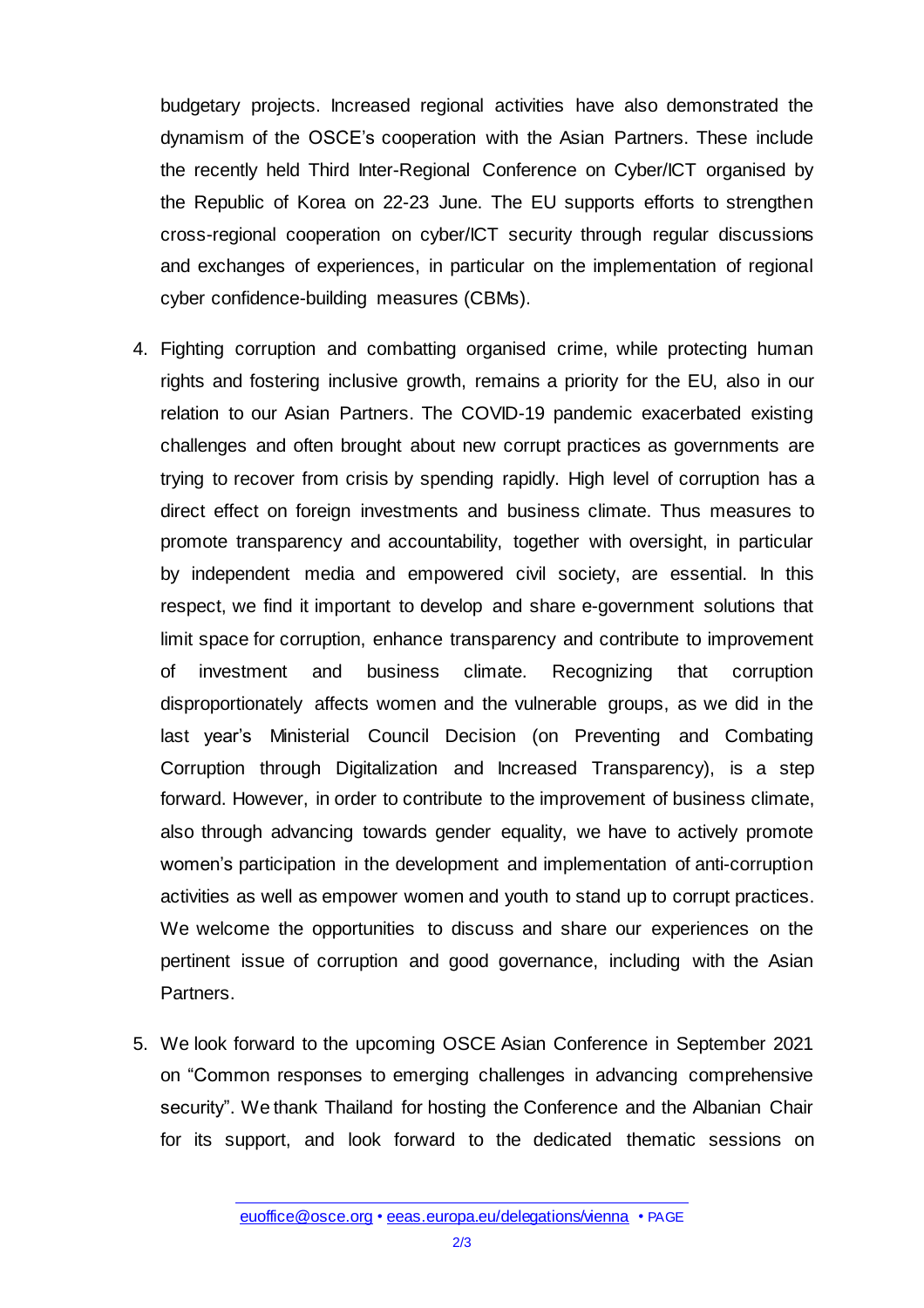budgetary projects. Increased regional activities have also demonstrated the dynamism of the OSCE's cooperation with the Asian Partners. These include the recently held Third Inter-Regional Conference on Cyber/ICT organised by the Republic of Korea on 22-23 June. The EU supports efforts to strengthen cross-regional cooperation on cyber/ICT security through regular discussions and exchanges of experiences, in particular on the implementation of regional cyber confidence-building measures (CBMs).

- 4. Fighting corruption and combatting organised crime, while protecting human rights and fostering inclusive growth, remains a priority for the EU, also in our relation to our Asian Partners. The COVID-19 pandemic exacerbated existing challenges and often brought about new corrupt practices as governments are trying to recover from crisis by spending rapidly. High level of corruption has a direct effect on foreign investments and business climate. Thus measures to promote transparency and accountability, together with oversight, in particular by independent media and empowered civil society, are essential. In this respect, we find it important to develop and share e-government solutions that limit space for corruption, enhance transparency and contribute to improvement of investment and business climate. Recognizing that corruption disproportionately affects women and the vulnerable groups, as we did in the last year's Ministerial Council Decision (on Preventing and Combating Corruption through Digitalization and Increased Transparency), is a step forward. However, in order to contribute to the improvement of business climate, also through advancing towards gender equality, we have to actively promote women's participation in the development and implementation of anti-corruption activities as well as empower women and youth to stand up to corrupt practices. We welcome the opportunities to discuss and share our experiences on the pertinent issue of corruption and good governance, including with the Asian Partners.
- 5. We look forward to the upcoming OSCE Asian Conference in September 2021 on "Common responses to emerging challenges in advancing comprehensive security". We thank Thailand for hosting the Conference and the Albanian Chair for its support, and look forward to the dedicated thematic sessions on